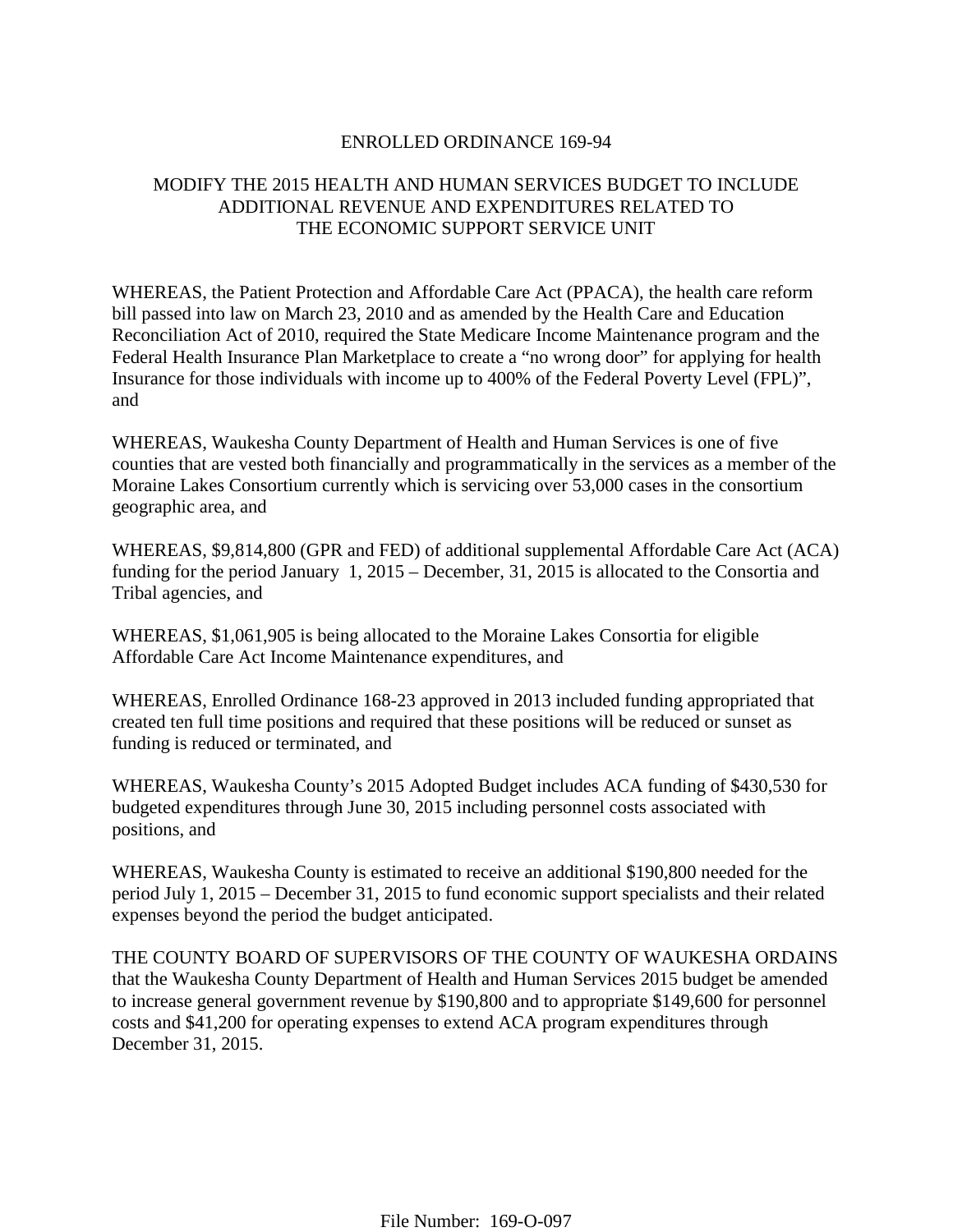### ENROLLED ORDINANCE 169-94

# MODIFY THE 2015 HEALTH AND HUMAN SERVICES BUDGET TO INCLUDE ADDITIONAL REVENUE AND EXPENDITURES RELATED TO THE ECONOMIC SUPPORT SERVICE UNIT

WHEREAS, the Patient Protection and Affordable Care Act (PPACA), the health care reform bill passed into law on March 23, 2010 and as amended by the Health Care and Education Reconciliation Act of 2010, required the State Medicare Income Maintenance program and the Federal Health Insurance Plan Marketplace to create a "no wrong door" for applying for health Insurance for those individuals with income up to 400% of the Federal Poverty Level (FPL)", and

WHEREAS, Waukesha County Department of Health and Human Services is one of five counties that are vested both financially and programmatically in the services as a member of the Moraine Lakes Consortium currently which is servicing over 53,000 cases in the consortium geographic area, and

WHEREAS, \$9,814,800 (GPR and FED) of additional supplemental Affordable Care Act (ACA) funding for the period January 1, 2015 – December, 31, 2015 is allocated to the Consortia and Tribal agencies, and

WHEREAS, \$1,061,905 is being allocated to the Moraine Lakes Consortia for eligible Affordable Care Act Income Maintenance expenditures, and

WHEREAS, Enrolled Ordinance 168-23 approved in 2013 included funding appropriated that created ten full time positions and required that these positions will be reduced or sunset as funding is reduced or terminated, and

WHEREAS, Waukesha County's 2015 Adopted Budget includes ACA funding of \$430,530 for budgeted expenditures through June 30, 2015 including personnel costs associated with positions, and

WHEREAS, Waukesha County is estimated to receive an additional \$190,800 needed for the period July 1, 2015 – December 31, 2015 to fund economic support specialists and their related expenses beyond the period the budget anticipated.

THE COUNTY BOARD OF SUPERVISORS OF THE COUNTY OF WAUKESHA ORDAINS that the Waukesha County Department of Health and Human Services 2015 budget be amended to increase general government revenue by \$190,800 and to appropriate \$149,600 for personnel costs and \$41,200 for operating expenses to extend ACA program expenditures through December 31, 2015.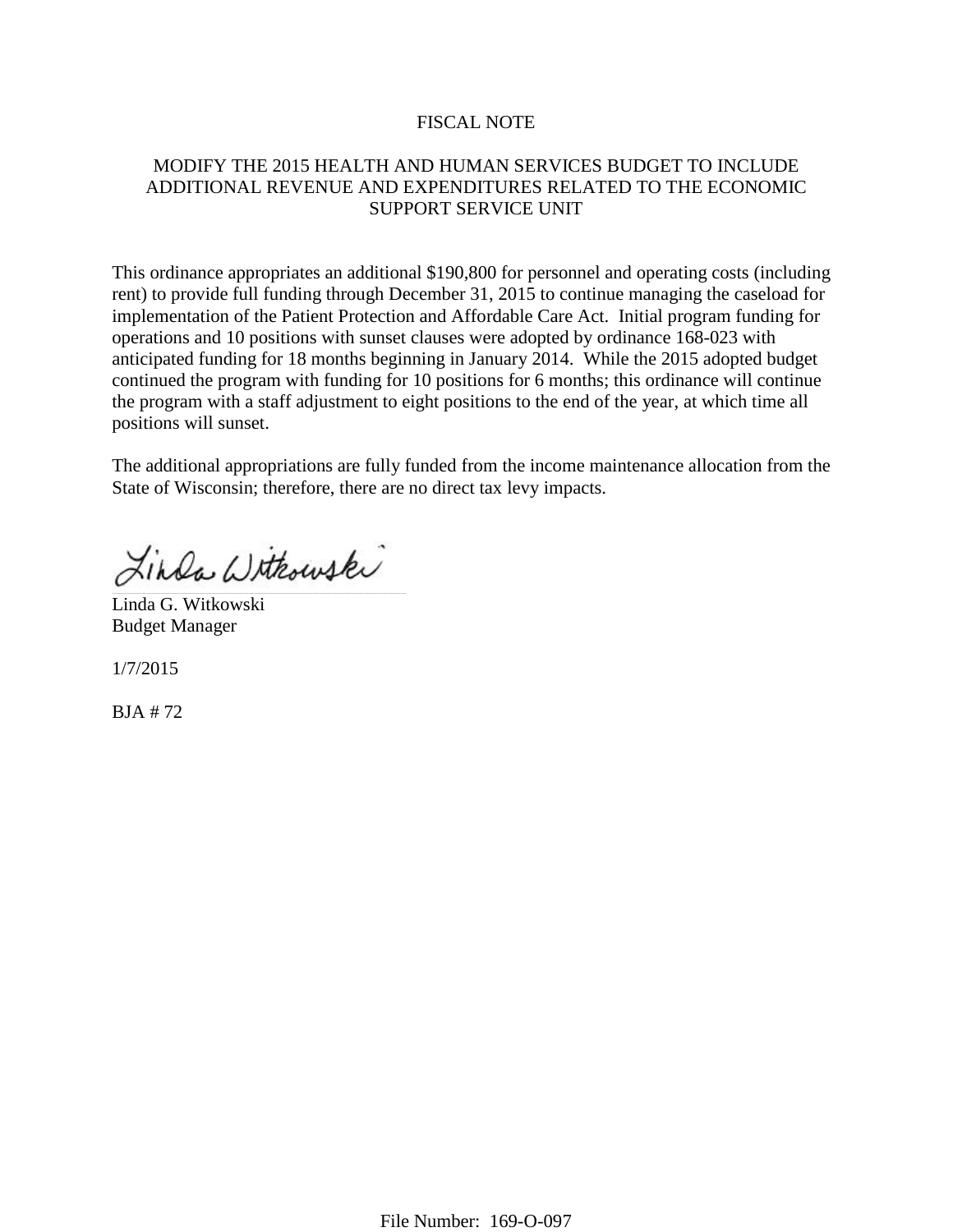#### FISCAL NOTE

### MODIFY THE 2015 HEALTH AND HUMAN SERVICES BUDGET TO INCLUDE ADDITIONAL REVENUE AND EXPENDITURES RELATED TO THE ECONOMIC SUPPORT SERVICE UNIT

This ordinance appropriates an additional \$190,800 for personnel and operating costs (including rent) to provide full funding through December 31, 2015 to continue managing the caseload for implementation of the Patient Protection and Affordable Care Act. Initial program funding for operations and 10 positions with sunset clauses were adopted by ordinance 168-023 with anticipated funding for 18 months beginning in January 2014. While the 2015 adopted budget continued the program with funding for 10 positions for 6 months; this ordinance will continue the program with a staff adjustment to eight positions to the end of the year, at which time all positions will sunset.

The additional appropriations are fully funded from the income maintenance allocation from the State of Wisconsin; therefore, there are no direct tax levy impacts.

Linda Withouski

Linda G. Witkowski Budget Manager

1/7/2015

BJA # 72